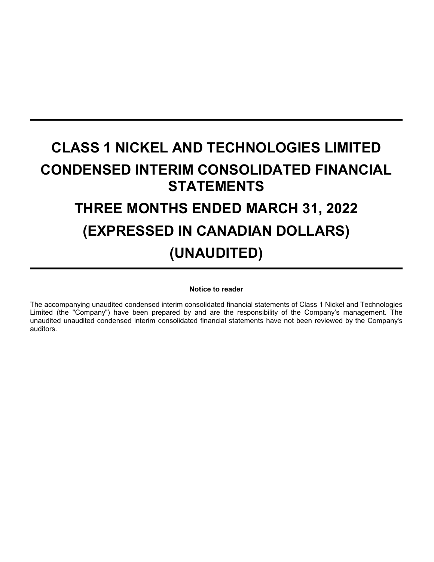# **CLASS 1 NICKEL AND TECHNOLOGIES LIMITED CONDENSED INTERIM CONSOLIDATED FINANCIAL STATEMENTS THREE MONTHS ENDED MARCH 31, 2022 (EXPRESSED IN CANADIAN DOLLARS) (UNAUDITED)**

# **Notice to reader**

The accompanying unaudited condensed interim consolidated financial statements of Class 1 Nickel and Technologies Limited (the "Company") have been prepared by and are the responsibility of the Company's management. The unaudited unaudited condensed interim consolidated financial statements have not been reviewed by the Company's auditors.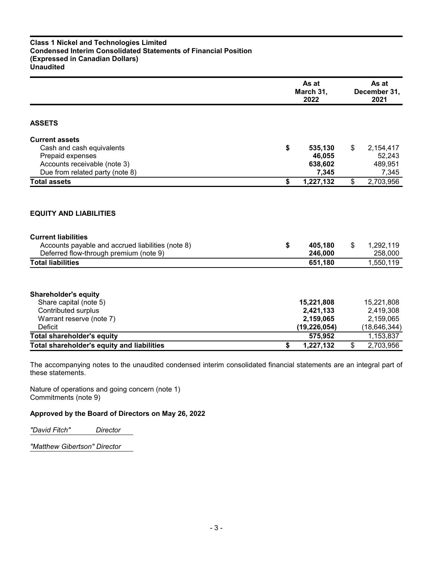# **Class 1 Nickel and Technologies Limited Condensed Interim Consolidated Statements of Financial Position (Expressed in Canadian Dollars) Unaudited**

|                                                                                                                                                                                        | As at<br>March 31,<br>2022 |                                                        | As at<br>December 31,<br>2021 |                                                        |
|----------------------------------------------------------------------------------------------------------------------------------------------------------------------------------------|----------------------------|--------------------------------------------------------|-------------------------------|--------------------------------------------------------|
| <b>ASSETS</b>                                                                                                                                                                          |                            |                                                        |                               |                                                        |
| <b>Current assets</b>                                                                                                                                                                  |                            |                                                        |                               |                                                        |
| Cash and cash equivalents                                                                                                                                                              | \$                         | 535,130                                                | \$                            | 2,154,417                                              |
| Prepaid expenses                                                                                                                                                                       |                            | 46,055                                                 |                               | 52,243                                                 |
| Accounts receivable (note 3)                                                                                                                                                           |                            | 638,602                                                |                               | 489,951                                                |
| Due from related party (note 8)                                                                                                                                                        |                            | 7,345                                                  |                               | 7,345                                                  |
| <b>Total assets</b>                                                                                                                                                                    | \$                         | 1,227,132                                              | \$                            | 2,703,956                                              |
| <b>EQUITY AND LIABILITIES</b><br><b>Current liabilities</b><br>Accounts payable and accrued liabilities (note 8)<br>Deferred flow-through premium (note 9)<br><b>Total liabilities</b> | \$                         | 405,180<br>246,000<br>651,180                          | \$                            | 1,292,119<br>258,000<br>1,550,119                      |
| <b>Shareholder's equity</b><br>Share capital (note 5)<br><b>Contributed surplus</b><br>Warrant reserve (note 7)<br><b>Deficit</b>                                                      |                            | 15,221,808<br>2,421,133<br>2,159,065<br>(19, 226, 054) |                               | 15,221,808<br>2,419,308<br>2,159,065<br>(18, 646, 344) |
| <b>Total shareholder's equity</b>                                                                                                                                                      |                            | 575,952                                                |                               | 1,153,837                                              |
| <b>Total shareholder's equity and liabilities</b>                                                                                                                                      | \$                         | 1,227,132                                              | \$                            | 2,703,956                                              |

The accompanying notes to the unaudited condensed interim consolidated financial statements are an integral part of these statements.

Nature of operations and going concern (note 1) Commitments (note 9)

# **Approved by the Board of Directors on May 26, 2022**

*"David Fitch" Director*

*"Matthew Gibertson" Director*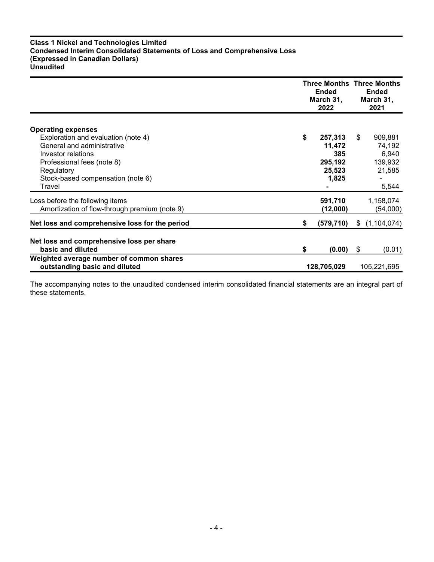# **Class 1 Nickel and Technologies Limited Condensed Interim Consolidated Statements of Loss and Comprehensive Loss (Expressed in Canadian Dollars) Unaudited**

|                                                                  | <b>Three Months Three Months</b><br><b>Ended</b><br>March 31,<br>2022 |            | <b>Ended</b><br>March 31,<br>2021 |               |  |  |
|------------------------------------------------------------------|-----------------------------------------------------------------------|------------|-----------------------------------|---------------|--|--|
|                                                                  |                                                                       |            |                                   |               |  |  |
| <b>Operating expenses</b><br>Exploration and evaluation (note 4) | \$                                                                    | 257,313    | \$                                | 909,881       |  |  |
| General and administrative                                       |                                                                       | 11.472     |                                   | 74,192        |  |  |
| Investor relations                                               |                                                                       | 385        |                                   | 6,940         |  |  |
| Professional fees (note 8)                                       |                                                                       | 295,192    |                                   | 139,932       |  |  |
| Regulatory                                                       |                                                                       | 25,523     |                                   | 21,585        |  |  |
| Stock-based compensation (note 6)                                |                                                                       | 1,825      |                                   |               |  |  |
| Travel                                                           |                                                                       |            |                                   | 5,544         |  |  |
| Loss before the following items                                  |                                                                       | 591,710    |                                   | 1,158,074     |  |  |
| Amortization of flow-through premium (note 9)                    |                                                                       | (12,000)   |                                   | (54,000)      |  |  |
| Net loss and comprehensive loss for the period                   | \$                                                                    | (579, 710) | S.                                | (1, 104, 074) |  |  |
|                                                                  |                                                                       |            |                                   |               |  |  |
| Net loss and comprehensive loss per share                        |                                                                       |            |                                   |               |  |  |
| basic and diluted                                                | \$                                                                    | (0.00)     | \$                                | (0.01)        |  |  |
| Weighted average number of common shares                         |                                                                       |            |                                   |               |  |  |
| outstanding basic and diluted                                    | 128,705,029                                                           |            |                                   | 105,221,695   |  |  |

The accompanying notes to the unaudited condensed interim consolidated financial statements are an integral part of these statements.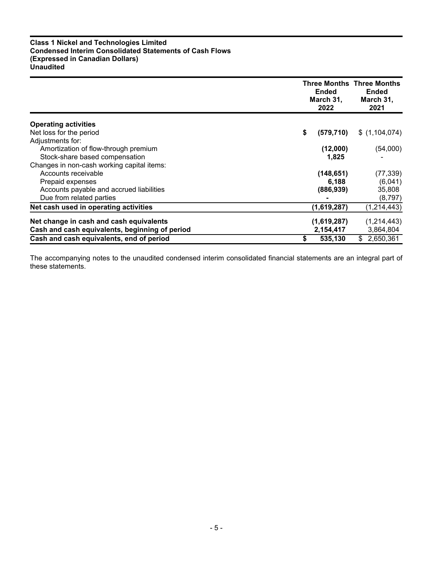# **Class 1 Nickel and Technologies Limited Condensed Interim Consolidated Statements of Cash Flows (Expressed in Canadian Dollars) Unaudited**

|                                                | <b>Ended</b><br>March 31,<br>2022 | <b>Three Months Three Months</b><br><b>Ended</b><br>March 31,<br>2021 |
|------------------------------------------------|-----------------------------------|-----------------------------------------------------------------------|
| <b>Operating activities</b>                    |                                   |                                                                       |
| Net loss for the period                        | \$<br>(579, 710)                  | \$(1,104,074)                                                         |
| Adjustments for:                               |                                   |                                                                       |
| Amortization of flow-through premium           | (12,000)                          | (54,000)                                                              |
| Stock-share based compensation                 | 1,825                             |                                                                       |
| Changes in non-cash working capital items:     |                                   |                                                                       |
| Accounts receivable                            | (148, 651)                        | (77, 339)                                                             |
| Prepaid expenses                               | 6,188                             | (6,041)                                                               |
| Accounts payable and accrued liabilities       | (886, 939)                        | 35,808                                                                |
| Due from related parties                       |                                   | (8,797)                                                               |
| Net cash used in operating activities          | (1,619,287)                       | (1,214,443)                                                           |
| Net change in cash and cash equivalents        | (1,619,287)                       | (1,214,443)                                                           |
| Cash and cash equivalents, beginning of period | 2,154,417                         | 3,864,804                                                             |
| Cash and cash equivalents, end of period       | 535,130<br>\$                     | \$2,650,361                                                           |

The accompanying notes to the unaudited condensed interim consolidated financial statements are an integral part of these statements.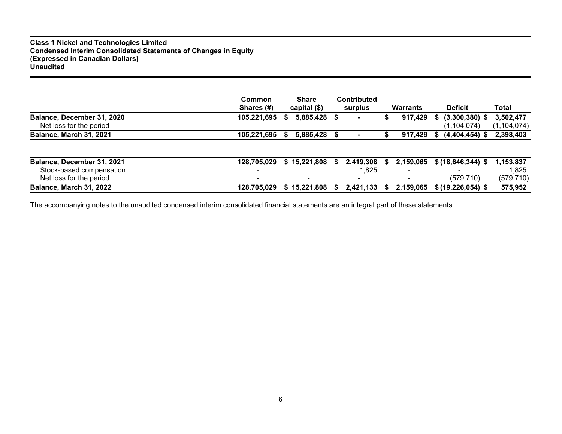# **Class 1 Nickel and Technologies Limited Condensed Interim Consolidated Statements of Changes in Equity (Expressed in Canadian Dollars) Unaudited**

|                                | Common<br>Shares (#) | <b>Share</b><br>capital (\$) |    | <b>Contributed</b><br>surplus |    | <b>Warrants</b> | <b>Deficit</b>         | Total         |
|--------------------------------|----------------------|------------------------------|----|-------------------------------|----|-----------------|------------------------|---------------|
| Balance, December 31, 2020     | 105,221,695          | 5,885,428 \$                 |    | $\blacksquare$                |    | 917,429         | $(3,300,380)$ \$<br>S  | 3,502,477     |
| Net loss for the period        |                      |                              |    |                               |    |                 | (1, 104, 074)          | (1, 104, 074) |
| Balance, March 31, 2021        | 105,221,695          | 5,885,428 \$                 |    |                               |    | 917,429         | $(4,404,454)$ \$<br>S. | 2,398,403     |
|                                |                      |                              |    |                               |    |                 |                        |               |
| Balance, December 31, 2021     | 128,705,029          | \$15,221,808                 | S. | 2,419,308                     | S. | 2,159,065       | $$ (18,646,344)$ \$    | 1,153,837     |
| Stock-based compensation       |                      |                              |    | l.825                         |    |                 |                        | 1.825         |
| Net loss for the period        |                      |                              |    |                               |    |                 | (579, 710)             | (579, 710)    |
| <b>Balance, March 31, 2022</b> | 128.705.029          | \$15,221,808                 |    | 2,421,133                     | S. | 2.159.065       | $$(19, 226, 054)$ \$   | 575,952       |

The accompanying notes to the unaudited condensed interim consolidated financial statements are an integral part of these statements.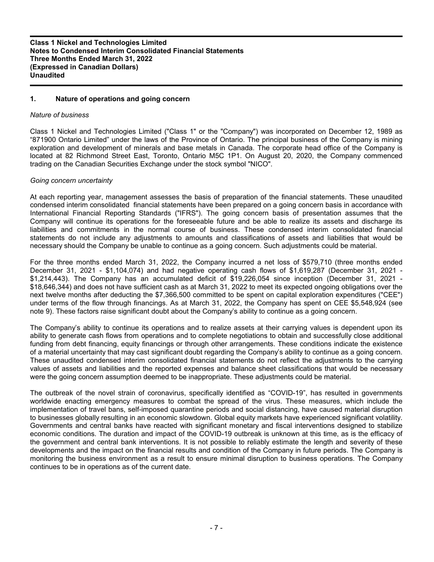# **1. Nature of operations and going concern**

#### *Nature of business*

Class 1 Nickel and Technologies Limited ("Class 1" or the "Company") was incorporated on December 12, 1989 as "871900 Ontario Limited" under the laws of the Province of Ontario. The principal business of the Company is mining exploration and development of minerals and base metals in Canada. The corporate head office of the Company is located at 82 Richmond Street East, Toronto, Ontario M5C 1P1. On August 20, 2020, the Company commenced trading on the Canadian Securities Exchange under the stock symbol "NICO".

#### *Going concern uncertainty*

At each reporting year, management assesses the basis of preparation of the financial statements. These unaudited condensed interim consolidated financial statements have been prepared on a going concern basis in accordance with International Financial Reporting Standards ("IFRS"). The going concern basis of presentation assumes that the Company will continue its operations for the foreseeable future and be able to realize its assets and discharge its liabilities and commitments in the normal course of business. These condensed interim consolidated financial statements do not include any adjustments to amounts and classifications of assets and liabilities that would be necessary should the Company be unable to continue as a going concern. Such adjustments could be material.

For the three months ended March 31, 2022, the Company incurred a net loss of \$579,710 (three months ended December 31, 2021 - \$1,104,074) and had negative operating cash flows of \$1,619,287 (December 31, 2021 - \$1,214,443). The Company has an accumulated deficit of \$19,226,054 since inception (December 31, 2021 - \$18,646,344) and does not have sufficient cash as at March 31, 2022 to meet its expected ongoing obligations over the next twelve months after deducting the \$7,366,500 committed to be spent on capital exploration expenditures ("CEE") under terms of the flow through financings. As at March 31, 2022, the Company has spent on CEE \$5,548,924 (see note 9). These factors raise significant doubt about the Company's ability to continue as a going concern.

The Company's ability to continue its operations and to realize assets at their carrying values is dependent upon its ability to generate cash flows from operations and to complete negotiations to obtain and successfully close additional funding from debt financing, equity financings or through other arrangements. These conditions indicate the existence of a material uncertainty that may cast significant doubt regarding the Company's ability to continue as a going concern. These unaudited condensed interim consolidated financial statements do not reflect the adjustments to the carrying values of assets and liabilities and the reported expenses and balance sheet classifications that would be necessary were the going concern assumption deemed to be inappropriate. These adjustments could be material.

The outbreak of the novel strain of coronavirus, specifically identified as "COVID-19", has resulted in governments worldwide enacting emergency measures to combat the spread of the virus. These measures, which include the implementation of travel bans, self-imposed quarantine periods and social distancing, have caused material disruption to businesses globally resulting in an economic slowdown. Global equity markets have experienced significant volatility. Governments and central banks have reacted with significant monetary and fiscal interventions designed to stabilize economic conditions. The duration and impact of the COVID-19 outbreak is unknown at this time, as is the efficacy of the government and central bank interventions. It is not possible to reliably estimate the length and severity of these developments and the impact on the financial results and condition of the Company in future periods. The Company is monitoring the business environment as a result to ensure minimal disruption to business operations. The Company continues to be in operations as of the current date.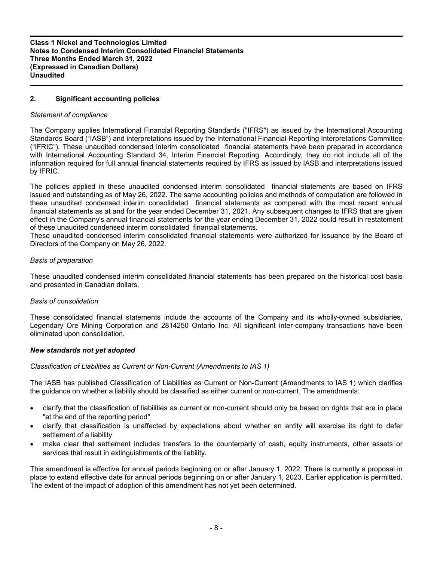# **2. Significant accounting policies**

# *Statement of compliance*

The Company applies International Financial Reporting Standards ("IFRS") as issued by the International Accounting Standards Board ("IASB") and interpretations issued by the International Financial Reporting Interpretations Committee ("IFRIC"). These unaudited condensed interim consolidated financial statements have been prepared in accordance with International Accounting Standard 34, Interim Financial Reporting. Accordingly, they do not include all of the information required for full annual financial statements required by IFRS as issued by IASB and interpretations issued by IFRIC.

The policies applied in these unaudited condensed interim consolidated financial statements are based on IFRS issued and outstanding as of May 26, 2022. The same accounting policies and methods of computation are followed in these unaudited condensed interim consolidated financial statements as compared with the most recent annual financial statements as at and for the year ended December 31, 2021. Any subsequent changes to IFRS that are given effect in the Company's annual financial statements for the year ending December 31, 2022 could result in restatement of these unaudited condensed interim consolidated financial statements.

These unaudited condensed interim consolidated financial statements were authorized for issuance by the Board of Directors of the Company on May 26, 2022.

#### *Basis of preparation*

These unaudited condensed interim consolidated financial statements has been prepared on the historical cost basis and presented in Canadian dollars.

#### *Basis of consolidation*

These consolidated financial statements include the accounts of the Company and its wholly-owned subsidiaries, Legendary Ore Mining Corporation and 2814250 Ontario Inc. All significant inter-company transactions have been eliminated upon consolidation.

#### *New standards not yet adopted*

*Classification of Liabilities as Current or Non-Current (Amendments to IAS 1)*

The IASB has published Classification of Liabilities as Current or Non-Current (Amendments to IAS 1) which clarifies the guidance on whether a liability should be classified as either current or non-current. The amendments:

- clarify that the classification of liabilities as current or non-current should only be based on rights that are in place "at the end of the reporting period"
- clarify that classification is unaffected by expectations about whether an entity will exercise its right to defer settlement of a liability
- make clear that settlement includes transfers to the counterparty of cash, equity instruments, other assets or services that result in extinguishments of the liability.

This amendment is effective for annual periods beginning on or after January 1, 2022. There is currently a proposal in place to extend effective date for annual periods beginning on or after January 1, 2023. Earlier application is permitted. The extent of the impact of adoption of this amendment has not yet been determined.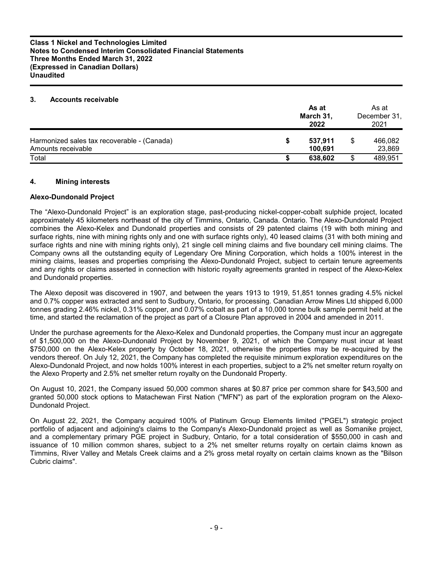#### **3. Accounts receivable**

|                                                                   | As at<br>March 31,<br>2022 |   | As at<br>December 31,<br>2021 |
|-------------------------------------------------------------------|----------------------------|---|-------------------------------|
| Harmonized sales tax recoverable - (Canada)<br>Amounts receivable | 537,911<br>100.691         |   | 466,082<br>23,869             |
| Total                                                             | 638,602                    | S | 489,951                       |

# **4. Mining interests**

# **Alexo-Dundonald Project**

The "Alexo-Dundonald Project" is an exploration stage, past-producing nickel-copper-cobalt sulphide project, located approximately 45 kilometers northeast of the city of Timmins, Ontario, Canada. Ontario. The Alexo-Dundonald Project combines the Alexo-Kelex and Dundonald properties and consists of 29 patented claims (19 with both mining and surface rights, nine with mining rights only and one with surface rights only), 40 leased claims (31 with both mining and surface rights and nine with mining rights only), 21 single cell mining claims and five boundary cell mining claims. The Company owns all the outstanding equity of Legendary Ore Mining Corporation, which holds a 100% interest in the mining claims, leases and properties comprising the Alexo-Dundonald Project, subject to certain tenure agreements and any rights or claims asserted in connection with historic royalty agreements granted in respect of the Alexo-Kelex and Dundonald properties.

The Alexo deposit was discovered in 1907, and between the years 1913 to 1919, 51,851 tonnes grading 4.5% nickel and 0.7% copper was extracted and sent to Sudbury, Ontario, for processing. Canadian Arrow Mines Ltd shipped 6,000 tonnes grading 2.46% nickel, 0.31% copper, and 0.07% cobalt as part of a 10,000 tonne bulk sample permit held at the time, and started the reclamation of the project as part of a Closure Plan approved in 2004 and amended in 2011.

Under the purchase agreements for the Alexo-Kelex and Dundonald properties, the Company must incur an aggregate of \$1,500,000 on the Alexo-Dundonald Project by November 9, 2021, of which the Company must incur at least \$750,000 on the Alexo-Kelex property by October 18, 2021, otherwise the properties may be re-acquired by the vendors thereof. On July 12, 2021, the Company has completed the requisite minimum exploration expenditures on the Alexo-Dundonald Project, and now holds 100% interest in each properties, subject to a 2% net smelter return royalty on the Alexo Property and 2.5% net smelter return royalty on the Dundonald Property.

On August 10, 2021, the Company issued 50,000 common shares at \$0.87 price per common share for \$43,500 and granted 50,000 stock options to Matachewan First Nation ("MFN") as part of the exploration program on the Alexo-Dundonald Project.

On August 22, 2021, the Company acquired 100% of Platinum Group Elements limited ("PGEL") strategic project portfolio of adjacent and adjoining's claims to the Company's Alexo-Dundonald project as well as Somanike project, and a complementary primary PGE project in Sudbury, Ontario, for a total consideration of \$550,000 in cash and issuance of 10 million common shares, subject to a 2% net smelter returns royalty on certain claims known as Timmins, River Valley and Metals Creek claims and a 2% gross metal royalty on certain claims known as the "Bilson Cubric claims".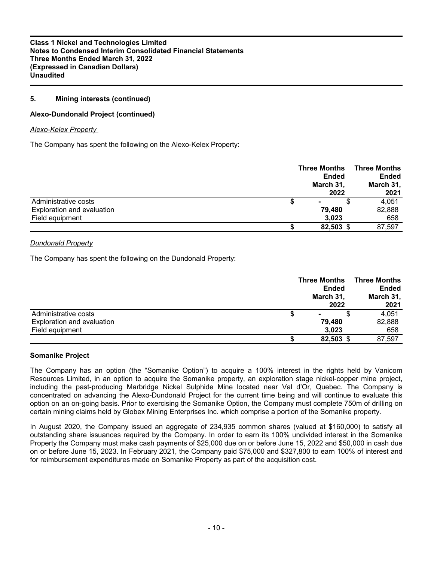# **5. Mining interests (continued)**

# **Alexo-Dundonald Project (continued)**

#### *Alexo-Kelex Property*

The Company has spent the following on the Alexo-Kelex Property:

|                            | <b>Three Months</b><br><b>Ended</b><br>March 31,<br>2022 | Three Months<br><b>Ended</b><br>March 31,<br>2021 |
|----------------------------|----------------------------------------------------------|---------------------------------------------------|
| Administrative costs       |                                                          | 4,051                                             |
| Exploration and evaluation | 79.480                                                   | 82,888                                            |
| Field equipment            | 3,023                                                    | 658                                               |
|                            | 82,503 \$                                                | 87,597                                            |

# *Dundonald Property*

The Company has spent the following on the Dundonald Property:

|                            | <b>Three Months</b><br><b>Ended</b><br>March 31,<br>2022 |           | Three Months<br>Ended<br>March 31,<br>2021 |
|----------------------------|----------------------------------------------------------|-----------|--------------------------------------------|
|                            |                                                          |           |                                            |
| Administrative costs       |                                                          | ۰         | 4,051                                      |
| Exploration and evaluation |                                                          | 79.480    | 82,888                                     |
| Field equipment            |                                                          | 3.023     | 658                                        |
|                            |                                                          | 82,503 \$ | 87,597                                     |

#### **Somanike Project**

The Company has an option (the "Somanike Option") to acquire a 100% interest in the rights held by Vanicom Resources Limited, in an option to acquire the Somanike property, an exploration stage nickel-copper mine project, including the past-producing Marbridge Nickel Sulphide Mine located near Val d'Or, Quebec. The Company is concentrated on advancing the Alexo-Dundonald Project for the current time being and will continue to evaluate this option on an on-going basis. Prior to exercising the Somanike Option, the Company must complete 750m of drilling on certain mining claims held by Globex Mining Enterprises Inc. which comprise a portion of the Somanike property.

In August 2020, the Company issued an aggregate of 234,935 common shares (valued at \$160,000) to satisfy all outstanding share issuances required by the Company. In order to earn its 100% undivided interest in the Somanike Property the Company must make cash payments of \$25,000 due on or before June 15, 2022 and \$50,000 in cash due on or before June 15, 2023. In February 2021, the Company paid \$75,000 and \$327,800 to earn 100% of interest and for reimbursement expenditures made on Somanike Property as part of the acquisition cost.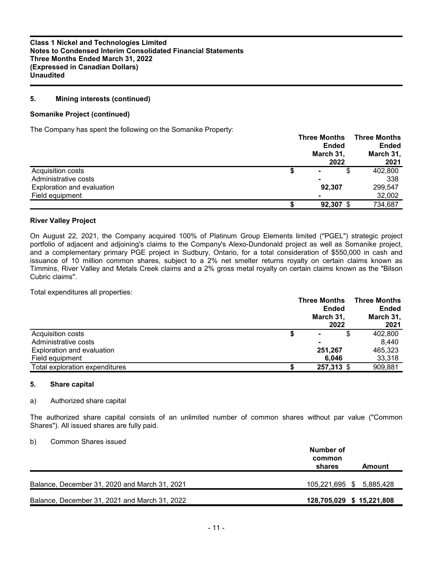# **5. Mining interests (continued)**

#### **Somanike Project (continued)**

The Company has spent the following on the Somanike Property:

|                            |   | <b>Three Months</b><br><b>Ended</b><br>March 31,<br>2022 | <b>Three Months</b><br><b>Ended</b><br>March 31,<br>2021 |
|----------------------------|---|----------------------------------------------------------|----------------------------------------------------------|
| Acquisition costs          | จ | S<br>$\blacksquare$                                      | 402,800                                                  |
| Administrative costs       |   | ۰                                                        | 338                                                      |
| Exploration and evaluation |   | 92.307                                                   | 299.547                                                  |
| Field equipment            |   |                                                          | 32,002                                                   |
|                            |   | $92,307$ \$                                              | 734,687                                                  |

#### **River Valley Project**

On August 22, 2021, the Company acquired 100% of Platinum Group Elements limited ("PGEL") strategic project portfolio of adjacent and adjoining's claims to the Company's Alexo-Dundonald project as well as Somanike project, and a complementary primary PGE project in Sudbury, Ontario, for a total consideration of \$550,000 in cash and issuance of 10 million common shares, subject to a 2% net smelter returns royalty on certain claims known as Timmins, River Valley and Metals Creek claims and a 2% gross metal royalty on certain claims known as the "Bilson Cubric claims".

Total expenditures all properties:

|                                | <b>Three Months</b><br><b>Ended</b><br>March 31,<br>2022 | <b>Three Months</b><br><b>Ended</b><br>March 31,<br>2021 |
|--------------------------------|----------------------------------------------------------|----------------------------------------------------------|
| Acquisition costs              | S                                                        | 402.800                                                  |
| Administrative costs           |                                                          | 8.440                                                    |
| Exploration and evaluation     | 251,267                                                  | 465.323                                                  |
| Field equipment                | 6.046                                                    | 33,318                                                   |
| Total exploration expenditures | 257,313 \$                                               | 909,881                                                  |

#### **5. Share capital**

#### a) Authorized share capital

The authorized share capital consists of an unlimited number of common shares without par value ("Common Shares"). All issued shares are fully paid.

#### b) Common Shares issued

|                                               | Number of<br>common      |
|-----------------------------------------------|--------------------------|
|                                               | shares<br>Amount         |
| Balance, December 31, 2020 and March 31, 2021 | 105,221,695 \$ 5,885,428 |
| Balance, December 31, 2021 and March 31, 2022 | 128,705,029 \$15,221,808 |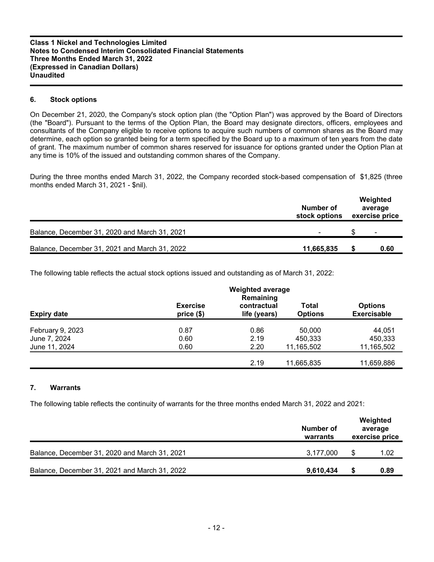# **6. Stock options**

On December 21, 2020, the Company's stock option plan (the "Option Plan") was approved by the Board of Directors (the "Board"). Pursuant to the terms of the Option Plan, the Board may designate directors, officers, employees and consultants of the Company eligible to receive options to acquire such numbers of common shares as the Board may determine, each option so granted being for a term specified by the Board up to a maximum of ten years from the date of grant. The maximum number of common shares reserved for issuance for options granted under the Option Plan at any time is 10% of the issued and outstanding common shares of the Company.

During the three months ended March 31, 2022, the Company recorded stock-based compensation of \$1,825 (three months ended March 31, 2021 - \$nil).

|                                               | Number of<br>stock options | Weighted<br>average<br>exercise price |
|-----------------------------------------------|----------------------------|---------------------------------------|
| Balance, December 31, 2020 and March 31, 2021 |                            | $\overline{\phantom{0}}$              |
| Balance, December 31, 2021 and March 31, 2022 | 11,665,835                 | 0.60                                  |

The following table reflects the actual stock options issued and outstanding as of March 31, 2022:

|                    |                               | <b>Weighted average</b><br>Remaining |                         |                                      |
|--------------------|-------------------------------|--------------------------------------|-------------------------|--------------------------------------|
| <b>Expiry date</b> | <b>Exercise</b><br>price (\$) | contractual<br>life (years)          | Total<br><b>Options</b> | <b>Options</b><br><b>Exercisable</b> |
| February 9, 2023   | 0.87                          | 0.86                                 | 50,000                  | 44,051                               |
| June 7, 2024       | 0.60                          | 2.19                                 | 450,333                 | 450,333                              |
| June 11, 2024      | 0.60                          | 2.20                                 | 11,165,502              | 11,165,502                           |
|                    |                               | 2.19                                 | 11,665,835              | 11,659,886                           |

# **7. Warrants**

The following table reflects the continuity of warrants for the three months ended March 31, 2022 and 2021:

|                                               | Number of<br>warrants | Weighted<br>average<br>exercise price |      |
|-----------------------------------------------|-----------------------|---------------------------------------|------|
| Balance, December 31, 2020 and March 31, 2021 | 3.177.000             |                                       | 1.02 |
| Balance, December 31, 2021 and March 31, 2022 | 9,610,434             |                                       | 0.89 |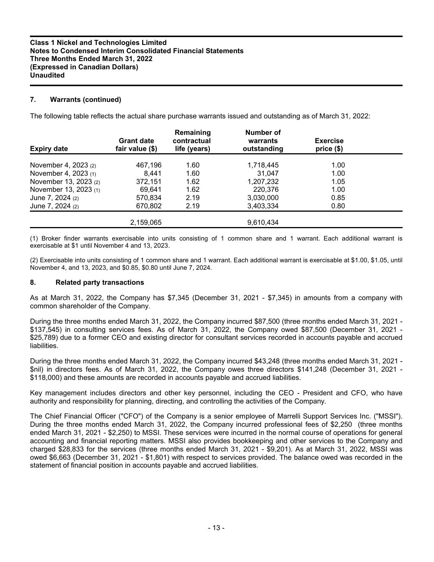# **7. Warrants (continued)**

The following table reflects the actual share purchase warrants issued and outstanding as of March 31, 2022:

| <b>Expiry date</b>    | <b>Grant date</b><br>fair value (\$) | Remaining<br>contractual<br>life (years) | <b>Number of</b><br>warrants<br>outstanding | <b>Exercise</b><br>price (\$) |  |
|-----------------------|--------------------------------------|------------------------------------------|---------------------------------------------|-------------------------------|--|
| November 4, 2023 (2)  | 467.196                              | 1.60                                     | 1,718,445                                   | 1.00                          |  |
| November 4, 2023 (1)  | 8.441                                | 1.60                                     | 31.047                                      | 1.00                          |  |
| November 13, 2023 (2) | 372,151                              | 1.62                                     | 1.207.232                                   | 1.05                          |  |
| November 13, 2023 (1) | 69.641                               | 1.62                                     | 220,376                                     | 1.00                          |  |
| June 7, 2024 (2)      | 570.834                              | 2.19                                     | 3,030,000                                   | 0.85                          |  |
| June 7, 2024 (2)      | 670,802                              | 2.19                                     | 3,403,334                                   | 0.80                          |  |
|                       | 2.159.065                            |                                          | 9,610,434                                   |                               |  |

(1) Broker finder warrants exercisable into units consisting of 1 common share and 1 warrant. Each additional warrant is exercisable at \$1 until November 4 and 13, 2023.

(2) Exercisable into units consisting of 1 common share and 1 warrant. Each additional warrant is exercisable at \$1.00, \$1.05, until November 4, and 13, 2023, and \$0.85, \$0.80 until June 7, 2024.

# **8. Related party transactions**

As at March 31, 2022, the Company has \$7,345 (December 31, 2021 - \$7,345) in amounts from a company with common shareholder of the Company.

During the three months ended March 31, 2022, the Company incurred \$87,500 (three months ended March 31, 2021 - \$137,545) in consulting services fees. As of March 31, 2022, the Company owed \$87,500 (December 31, 2021 - \$25,789) due to a former CEO and existing director for consultant services recorded in accounts payable and accrued liabilities.

During the three months ended March 31, 2022, the Company incurred \$43,248 (three months ended March 31, 2021 - \$nil) in directors fees. As of March 31, 2022, the Company owes three directors \$141,248 (December 31, 2021 - \$118,000) and these amounts are recorded in accounts payable and accrued liabilities.

Key management includes directors and other key personnel, including the CEO - President and CFO, who have authority and responsibility for planning, directing, and controlling the activities of the Company.

The Chief Financial Officer ("CFO") of the Company is a senior employee of Marrelli Support Services Inc. ("MSSI"). During the three months ended March 31, 2022, the Company incurred professional fees of \$2,250 (three months ended March 31, 2021 - \$2,250) to MSSI. These services were incurred in the normal course of operations for general accounting and financial reporting matters. MSSI also provides bookkeeping and other services to the Company and charged \$28,833 for the services (three months ended March 31, 2021 - \$9,201). As at March 31, 2022, MSSI was owed \$6,663 (December 31, 2021 - \$1,801) with respect to services provided. The balance owed was recorded in the statement of financial position in accounts payable and accrued liabilities.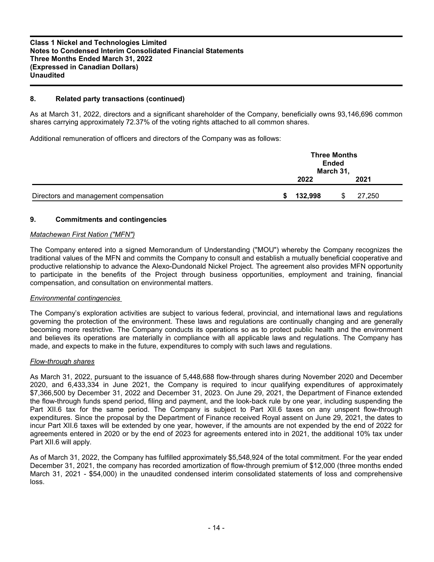# **8. Related party transactions (continued)**

As at March 31, 2022, directors and a significant shareholder of the Company, beneficially owns 93,146,696 common shares carrying approximately 72.37% of the voting rights attached to all common shares.

Additional remuneration of officers and directors of the Company was as follows:

|                                       | <b>Three Months</b><br><b>Ended</b><br>March 31, |  |        |  |
|---------------------------------------|--------------------------------------------------|--|--------|--|
|                                       | 2022                                             |  | 2021   |  |
| Directors and management compensation | 132,998                                          |  | 27,250 |  |

#### **9. Commitments and contingencies**

#### *Matachewan First Nation ("MFN")*

The Company entered into a signed Memorandum of Understanding ("MOU") whereby the Company recognizes the traditional values of the MFN and commits the Company to consult and establish a mutually beneficial cooperative and productive relationship to advance the Alexo-Dundonald Nickel Project. The agreement also provides MFN opportunity to participate in the benefits of the Project through business opportunities, employment and training, financial compensation, and consultation on environmental matters.

# *Environmental contingencies*

The Company's exploration activities are subject to various federal, provincial, and international laws and regulations governing the protection of the environment. These laws and regulations are continually changing and are generally becoming more restrictive. The Company conducts its operations so as to protect public health and the environment and believes its operations are materially in compliance with all applicable laws and regulations. The Company has made, and expects to make in the future, expenditures to comply with such laws and regulations.

#### *Flow-through shares*

As March 31, 2022, pursuant to the issuance of 5,448,688 flow-through shares during November 2020 and December 2020, and 6,433,334 in June 2021, the Company is required to incur qualifying expenditures of approximately \$7,366,500 by December 31, 2022 and December 31, 2023. On June 29, 2021, the Department of Finance extended the flow-through funds spend period, filing and payment, and the look-back rule by one year, including suspending the Part XII.6 tax for the same period. The Company is subject to Part XII.6 taxes on any unspent flow-through expenditures. Since the proposal by the Department of Finance received Royal assent on June 29, 2021, the dates to incur Part XII.6 taxes will be extended by one year, however, if the amounts are not expended by the end of 2022 for agreements entered in 2020 or by the end of 2023 for agreements entered into in 2021, the additional 10% tax under Part XII.6 will apply.

As of March 31, 2022, the Company has fulfilled approximately \$5,548,924 of the total commitment. For the year ended December 31, 2021, the company has recorded amortization of flow-through premium of \$12,000 (three months ended March 31, 2021 - \$54,000) in the unaudited condensed interim consolidated statements of loss and comprehensive loss.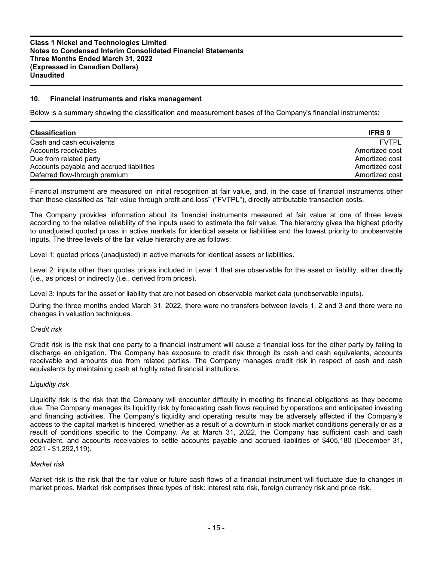#### **10. Financial instruments and risks management**

Below is a summary showing the classification and measurement bases of the Company's financial instruments:

| <b>Classification</b>                    | <b>IFRS 9</b>  |
|------------------------------------------|----------------|
| Cash and cash equivalents                | <b>FVTPL</b>   |
| Accounts receivables                     | Amortized cost |
| Due from related party                   | Amortized cost |
| Accounts payable and accrued liabilities | Amortized cost |
| Deferred flow-through premium            | Amortized cost |

Financial instrument are measured on initial recognition at fair value, and, in the case of financial instruments other than those classified as "fair value through profit and loss" ("FVTPL"), directly attributable transaction costs.

The Company provides information about its financial instruments measured at fair value at one of three levels according to the relative reliability of the inputs used to estimate the fair value. The hierarchy gives the highest priority to unadjusted quoted prices in active markets for identical assets or liabilities and the lowest priority to unobservable inputs. The three levels of the fair value hierarchy are as follows:

Level 1: quoted prices (unadjusted) in active markets for identical assets or liabilities.

Level 2: inputs other than quotes prices included in Level 1 that are observable for the asset or liability, either directly (i.e., as prices) or indirectly (i.e., derived from prices).

Level 3: inputs for the asset or liability that are not based on observable market data (unobservable inputs).

During the three months ended March 31, 2022, there were no transfers between levels 1, 2 and 3 and there were no changes in valuation techniques.

#### *Credit risk*

Credit risk is the risk that one party to a financial instrument will cause a financial loss for the other party by failing to discharge an obligation. The Company has exposure to credit risk through its cash and cash equivalents, accounts receivable and amounts due from related parties. The Company manages credit risk in respect of cash and cash equivalents by maintaining cash at highly rated financial institutions.

#### *Liquidity risk*

Liquidity risk is the risk that the Company will encounter difficulty in meeting its financial obligations as they become due. The Company manages its liquidity risk by forecasting cash flows required by operations and anticipated investing and financing activities. The Company's liquidity and operating results may be adversely affected if the Company's access to the capital market is hindered, whether as a result of a downturn in stock market conditions generally or as a result of conditions specific to the Company. As at March 31, 2022, the Company has sufficient cash and cash equivalent, and accounts receivables to settle accounts payable and accrued liabilities of \$405,180 (December 31, 2021 - \$1,292,119).

#### *Market risk*

Market risk is the risk that the fair value or future cash flows of a financial instrument will fluctuate due to changes in market prices. Market risk comprises three types of risk: interest rate risk, foreign currency risk and price risk.